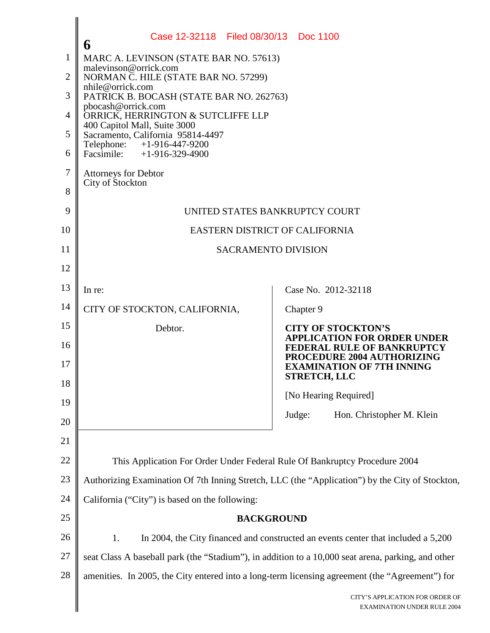|                | Case 12-32118 Filed 08/30/13 Doc 1100<br>6                                                                                    |                                                                  |  |  |
|----------------|-------------------------------------------------------------------------------------------------------------------------------|------------------------------------------------------------------|--|--|
| $\mathbf{1}$   | MARC A. LEVINSON (STATE BAR NO. 57613)<br>malevinson@orrick.com                                                               |                                                                  |  |  |
| $\overline{2}$ | NORMAN C. HILE (STATE BAR NO. 57299)                                                                                          |                                                                  |  |  |
| 3              | nhile@orrick.com<br>PATRICK B. BOCASH (STATE BAR NO. 262763)                                                                  |                                                                  |  |  |
| 4              | pbocash@orrick.com<br>ORRICK, HERRINGTON & SUTCLIFFE LLP<br>400 Capitol Mall, Suite 3000<br>Sacramento, California 95814-4497 |                                                                  |  |  |
| 5              |                                                                                                                               |                                                                  |  |  |
| 6              | Telephone: +1-916-447-9200<br>Facsimile: $+1-916-329-4900$                                                                    |                                                                  |  |  |
| $\tau$         | Attorneys for Debtor                                                                                                          |                                                                  |  |  |
| 8              | City of Stockton                                                                                                              |                                                                  |  |  |
| 9              | UNITED STATES BANKRUPTCY COURT                                                                                                |                                                                  |  |  |
| 10             | EASTERN DISTRICT OF CALIFORNIA                                                                                                |                                                                  |  |  |
| 11             | <b>SACRAMENTO DIVISION</b>                                                                                                    |                                                                  |  |  |
| 12             |                                                                                                                               |                                                                  |  |  |
| 13             | In re:                                                                                                                        | Case No. 2012-32118                                              |  |  |
| 14             | CITY OF STOCKTON, CALIFORNIA,                                                                                                 | Chapter 9                                                        |  |  |
| 15             | Debtor.                                                                                                                       | <b>CITY OF STOCKTON'S</b>                                        |  |  |
| 16             |                                                                                                                               | <b>APPLICATION FOR ORDER UNDER</b><br>FEDERAL RULE OF BANKRUPTCY |  |  |
| 17             |                                                                                                                               | PROCEDURE 2004 AUTHORIZING<br><b>EXAMINATION OF 7TH INNING</b>   |  |  |
| 18             |                                                                                                                               | <b>STRETCH, LLC</b>                                              |  |  |
| 19             |                                                                                                                               | [No Hearing Required]                                            |  |  |
| 20             |                                                                                                                               | Judge:<br>Hon. Christopher M. Klein                              |  |  |
| 21             |                                                                                                                               |                                                                  |  |  |
| 22             | This Application For Order Under Federal Rule Of Bankruptcy Procedure 2004                                                    |                                                                  |  |  |
| 23             | Authorizing Examination Of 7th Inning Stretch, LLC (the "Application") by the City of Stockton,                               |                                                                  |  |  |
| 24             | California ("City") is based on the following:                                                                                |                                                                  |  |  |
| 25             | <b>BACKGROUND</b>                                                                                                             |                                                                  |  |  |
| 26             | In 2004, the City financed and constructed an events center that included a 5,200<br>1.                                       |                                                                  |  |  |
| $27\,$         | seat Class A baseball park (the "Stadium"), in addition to a 10,000 seat arena, parking, and other                            |                                                                  |  |  |
| $28\,$         | amenities. In 2005, the City entered into a long-term licensing agreement (the "Agreement") for                               |                                                                  |  |  |
|                |                                                                                                                               | CITY'S APPLICATION FOR ORDER OF<br>EXAMINATION UNDER RULE 2004   |  |  |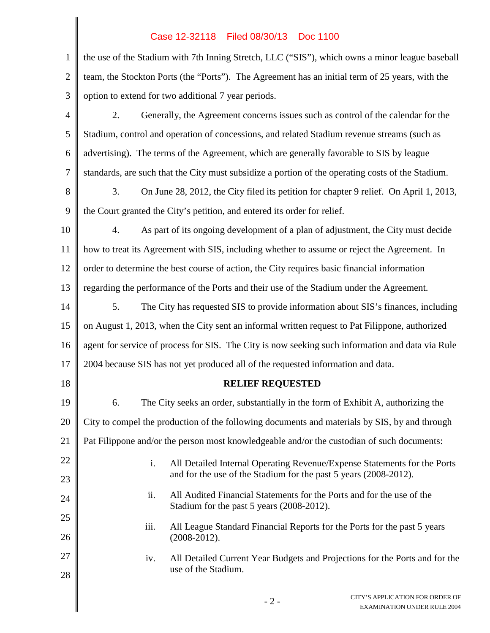## Case 12-32118 Filed 08/30/13 Doc 1100

 $\parallel$ 

| $\mathbf{1}$   | the use of the Stadium with 7th Inning Stretch, LLC ("SIS"), which owns a minor league baseball                           |  |  |
|----------------|---------------------------------------------------------------------------------------------------------------------------|--|--|
| $\overline{2}$ | team, the Stockton Ports (the "Ports"). The Agreement has an initial term of 25 years, with the                           |  |  |
| 3              | option to extend for two additional 7 year periods.                                                                       |  |  |
| $\overline{4}$ | Generally, the Agreement concerns issues such as control of the calendar for the<br>2.                                    |  |  |
| 5              | Stadium, control and operation of concessions, and related Stadium revenue streams (such as                               |  |  |
| 6              | advertising). The terms of the Agreement, which are generally favorable to SIS by league                                  |  |  |
| $\overline{7}$ | standards, are such that the City must subsidize a portion of the operating costs of the Stadium.                         |  |  |
| 8              | On June 28, 2012, the City filed its petition for chapter 9 relief. On April 1, 2013,<br>3.                               |  |  |
| 9              | the Court granted the City's petition, and entered its order for relief.                                                  |  |  |
| 10             | As part of its ongoing development of a plan of adjustment, the City must decide<br>4.                                    |  |  |
| 11             | how to treat its Agreement with SIS, including whether to assume or reject the Agreement. In                              |  |  |
| 12             | order to determine the best course of action, the City requires basic financial information                               |  |  |
| 13             | regarding the performance of the Ports and their use of the Stadium under the Agreement.                                  |  |  |
| 14             | 5.<br>The City has requested SIS to provide information about SIS's finances, including                                   |  |  |
| 15             | on August 1, 2013, when the City sent an informal written request to Pat Filippone, authorized                            |  |  |
| 16             | agent for service of process for SIS. The City is now seeking such information and data via Rule                          |  |  |
| 17             | 2004 because SIS has not yet produced all of the requested information and data.                                          |  |  |
| 18             | <b>RELIEF REQUESTED</b>                                                                                                   |  |  |
| 19             | The City seeks an order, substantially in the form of Exhibit A, authorizing the<br>6.                                    |  |  |
| 20             | City to compel the production of the following documents and materials by SIS, by and through                             |  |  |
| 21             | Pat Filippone and/or the person most knowledgeable and/or the custodian of such documents:                                |  |  |
| 22             | i.<br>All Detailed Internal Operating Revenue/Expense Statements for the Ports                                            |  |  |
| 23             | and for the use of the Stadium for the past 5 years (2008-2012).                                                          |  |  |
| 24             | ii.<br>All Audited Financial Statements for the Ports and for the use of the<br>Stadium for the past 5 years (2008-2012). |  |  |
| 25             | iii.<br>All League Standard Financial Reports for the Ports for the past 5 years                                          |  |  |
| 26             | $(2008-2012).$                                                                                                            |  |  |
| 27             | All Detailed Current Year Budgets and Projections for the Ports and for the<br>iv.<br>use of the Stadium.                 |  |  |
| 28             |                                                                                                                           |  |  |
|                | CITY'S APPLICATION FOR ORDER OF<br>$-2-$<br><b>EXAMINATION UNDER RULE 2004</b>                                            |  |  |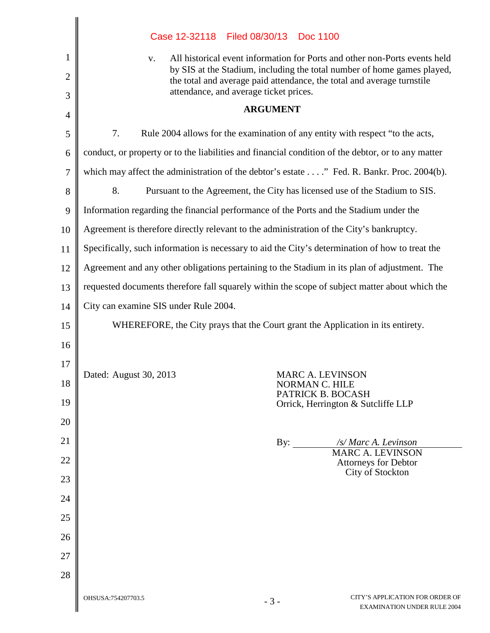|                     | Filed 08/30/13 Doc 1100<br>Case 12-32118                                                                                                                                                    |  |  |
|---------------------|---------------------------------------------------------------------------------------------------------------------------------------------------------------------------------------------|--|--|
| 1                   | All historical event information for Ports and other non-Ports events held<br>V.                                                                                                            |  |  |
| $\overline{2}$<br>3 | by SIS at the Stadium, including the total number of home games played,<br>the total and average paid attendance, the total and average turnstile<br>attendance, and average ticket prices. |  |  |
| 4                   | <b>ARGUMENT</b>                                                                                                                                                                             |  |  |
| 5                   | 7.<br>Rule 2004 allows for the examination of any entity with respect "to the acts,                                                                                                         |  |  |
| 6                   | conduct, or property or to the liabilities and financial condition of the debtor, or to any matter                                                                                          |  |  |
| $\tau$              | which may affect the administration of the debtor's estate" Fed. R. Bankr. Proc. 2004(b).                                                                                                   |  |  |
| 8                   | 8.<br>Pursuant to the Agreement, the City has licensed use of the Stadium to SIS.                                                                                                           |  |  |
| 9                   | Information regarding the financial performance of the Ports and the Stadium under the                                                                                                      |  |  |
| 10                  | Agreement is therefore directly relevant to the administration of the City's bankruptcy.                                                                                                    |  |  |
| 11                  | Specifically, such information is necessary to aid the City's determination of how to treat the                                                                                             |  |  |
| 12                  | Agreement and any other obligations pertaining to the Stadium in its plan of adjustment. The                                                                                                |  |  |
| 13                  | requested documents therefore fall squarely within the scope of subject matter about which the                                                                                              |  |  |
| 14                  | City can examine SIS under Rule 2004.                                                                                                                                                       |  |  |
| 15                  | WHEREFORE, the City prays that the Court grant the Application in its entirety.                                                                                                             |  |  |
| 16                  |                                                                                                                                                                                             |  |  |
| 17                  |                                                                                                                                                                                             |  |  |
| 18                  | Dated: August 30, 2013<br>MARC A. LEVINSON<br>NORMAN C. HILE<br>PATRICK B. BOCASH                                                                                                           |  |  |
| 19                  | Orrick, Herrington & Sutcliffe LLP                                                                                                                                                          |  |  |
| 20                  |                                                                                                                                                                                             |  |  |
| 21                  | /s/ Marc A. Levinson<br>By:<br><b>MARC A. LEVINSON</b>                                                                                                                                      |  |  |
| 22                  | <b>Attorneys for Debtor</b><br>City of Stockton                                                                                                                                             |  |  |
| 23                  |                                                                                                                                                                                             |  |  |
| 24                  |                                                                                                                                                                                             |  |  |
| 25                  |                                                                                                                                                                                             |  |  |
| 26                  |                                                                                                                                                                                             |  |  |
| 27                  |                                                                                                                                                                                             |  |  |
| 28                  |                                                                                                                                                                                             |  |  |
|                     | CITY'S APPLICATION FOR ORDER OF<br>OHSUSA:754207703.5<br>$-3-$<br><b>EXAMINATION UNDER RULE 2004</b>                                                                                        |  |  |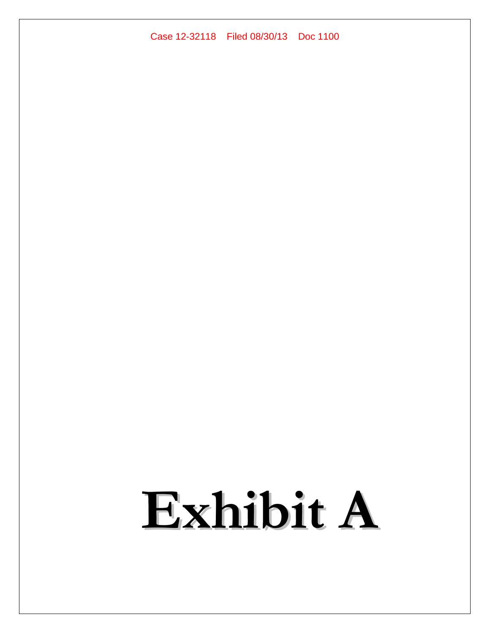## Case 12-32118 Filed 08/30/13 Doc 1100

## **Exhibit A**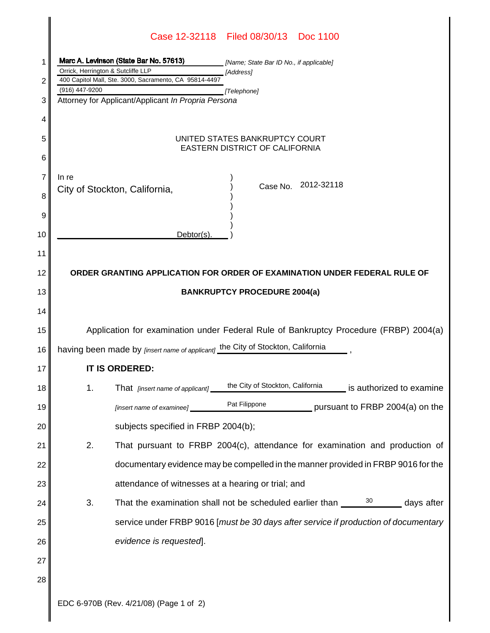|    | Case 12-32118 Filed 08/30/13 Doc 1100                                                                 |  |  |
|----|-------------------------------------------------------------------------------------------------------|--|--|
| 1  | Marc A. Levinson (State Bar No. 57613)<br>[Name; State Bar ID No., if applicable]                     |  |  |
|    | Orrick, Herrington & Sutcliffe LLP<br>[Address]                                                       |  |  |
| 2  | 400 Capitol Mall, Ste. 3000, Sacramento, CA 95814-4497<br>(916) 447-9200<br>[Telephone]               |  |  |
| 3  | Attorney for Applicant/Applicant In Propria Persona                                                   |  |  |
| 4  |                                                                                                       |  |  |
| 5  | UNITED STATES BANKRUPTCY COURT<br>EASTERN DISTRICT OF CALIFORNIA                                      |  |  |
| 6  |                                                                                                       |  |  |
| 7  | In re                                                                                                 |  |  |
| 8  | Case No. 2012-32118<br>City of Stockton, California,                                                  |  |  |
| 9  |                                                                                                       |  |  |
| 10 | Debtor(s).                                                                                            |  |  |
| 11 |                                                                                                       |  |  |
| 12 | ORDER GRANTING APPLICATION FOR ORDER OF EXAMINATION UNDER FEDERAL RULE OF                             |  |  |
| 13 | <b>BANKRUPTCY PROCEDURE 2004(a)</b>                                                                   |  |  |
| 14 |                                                                                                       |  |  |
| 15 | Application for examination under Federal Rule of Bankruptcy Procedure (FRBP) 2004(a)                 |  |  |
| 16 | having been made by [insert name of applicant] the City of Stockton, California                       |  |  |
| 17 | <b>IT IS ORDERED:</b>                                                                                 |  |  |
| 18 | the City of Stockton, California<br>1.<br>is authorized to examine<br>That [insert name of applicant] |  |  |
| 19 | Pat Filippone<br>pursuant to FRBP 2004(a) on the<br>[insert name of examinee] _                       |  |  |
| 20 | subjects specified in FRBP 2004(b);                                                                   |  |  |
| 21 | 2.<br>That pursuant to FRBP 2004(c), attendance for examination and production of                     |  |  |
| 22 | documentary evidence may be compelled in the manner provided in FRBP 9016 for the                     |  |  |
| 23 | attendance of witnesses at a hearing or trial; and                                                    |  |  |
| 24 | $\frac{30}{2}$ days after<br>3.<br>That the examination shall not be scheduled earlier than ____      |  |  |
| 25 | service under FRBP 9016 [must be 30 days after service if production of documentary                   |  |  |
| 26 | evidence is requested].                                                                               |  |  |
| 27 |                                                                                                       |  |  |
| 28 |                                                                                                       |  |  |
|    | $1/01/00$ $(\Box$                                                                                     |  |  |

 $\mathbf{I}$